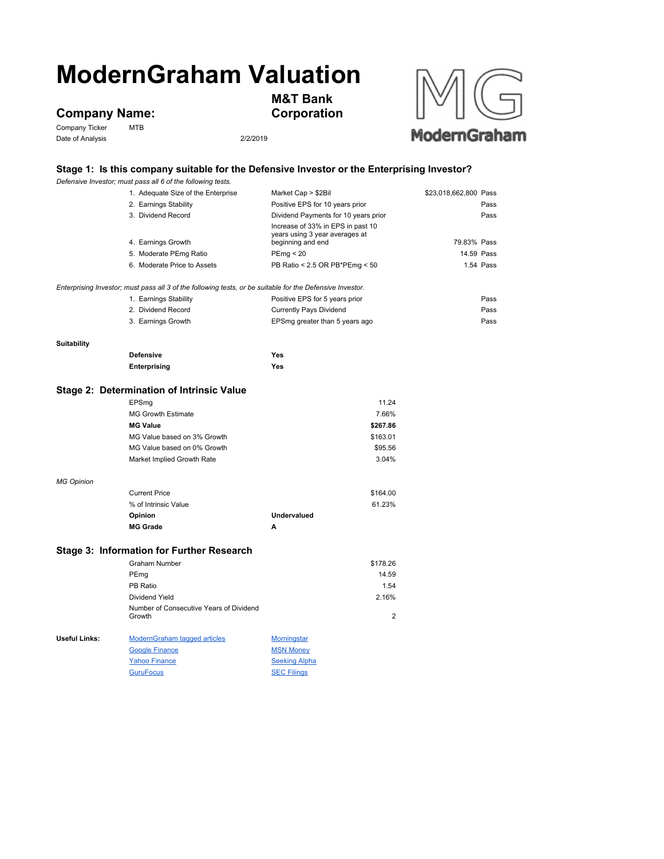# **ModernGraham Valuation**

## **Company Name:**<br>Company Ticker MTB

Company Ticker Date of Analysis 2/2/2019



**M&T Bank Corporation**



### **Stage 1: Is this company suitable for the Defensive Investor or the Enterprising Investor?**

|                                                                                                           | Defensive Investor; must pass all 6 of the following tests. |                                                                                          |                       |  |  |
|-----------------------------------------------------------------------------------------------------------|-------------------------------------------------------------|------------------------------------------------------------------------------------------|-----------------------|--|--|
|                                                                                                           | 1. Adequate Size of the Enterprise                          | Market Cap > \$2Bil                                                                      | \$23,018,662,800 Pass |  |  |
|                                                                                                           | 2. Earnings Stability                                       | Positive EPS for 10 years prior                                                          | Pass                  |  |  |
|                                                                                                           | 3. Dividend Record                                          | Dividend Payments for 10 years prior                                                     | Pass                  |  |  |
|                                                                                                           | 4. Earnings Growth                                          | Increase of 33% in EPS in past 10<br>years using 3 year averages at<br>beginning and end | 79.83% Pass           |  |  |
|                                                                                                           | 5. Moderate PEmg Ratio                                      | PEmg < 20                                                                                | 14.59 Pass            |  |  |
|                                                                                                           | 6. Moderate Price to Assets                                 | PB Ratio < 2.5 OR PB*PEmg < 50                                                           | 1.54 Pass             |  |  |
|                                                                                                           |                                                             |                                                                                          |                       |  |  |
| Enterprising Investor; must pass all 3 of the following tests, or be suitable for the Defensive Investor. |                                                             |                                                                                          |                       |  |  |
|                                                                                                           | 1. Earnings Stability                                       | Positive EPS for 5 years prior                                                           | Pass                  |  |  |
|                                                                                                           | 2. Dividend Record                                          | <b>Currently Pays Dividend</b>                                                           | Pass                  |  |  |
|                                                                                                           | 3. Earnings Growth                                          | EPSmg greater than 5 years ago                                                           | Pass                  |  |  |
|                                                                                                           |                                                             |                                                                                          |                       |  |  |
| <b>Suitability</b>                                                                                        | <b>Defensive</b>                                            | Yes                                                                                      |                       |  |  |
|                                                                                                           | Enterprising                                                | Yes                                                                                      |                       |  |  |
|                                                                                                           |                                                             |                                                                                          |                       |  |  |
| Stage 2: Determination of Intrinsic Value                                                                 |                                                             |                                                                                          |                       |  |  |
|                                                                                                           | EPSmg                                                       | 11.24                                                                                    |                       |  |  |
|                                                                                                           | <b>MG Growth Estimate</b>                                   | 7.66%                                                                                    |                       |  |  |
|                                                                                                           | <b>MG Value</b>                                             | \$267.86                                                                                 |                       |  |  |
|                                                                                                           | MG Value based on 3% Growth                                 | \$163.01                                                                                 |                       |  |  |
|                                                                                                           | MG Value based on 0% Growth                                 | \$95.56                                                                                  |                       |  |  |
|                                                                                                           | Market Implied Growth Rate                                  | 3.04%                                                                                    |                       |  |  |
|                                                                                                           |                                                             |                                                                                          |                       |  |  |
| <b>MG Opinion</b>                                                                                         |                                                             |                                                                                          |                       |  |  |
|                                                                                                           | <b>Current Price</b>                                        | \$164.00                                                                                 |                       |  |  |
|                                                                                                           | % of Intrinsic Value                                        | 61.23%                                                                                   |                       |  |  |
|                                                                                                           | Opinion                                                     | Undervalued                                                                              |                       |  |  |
|                                                                                                           | <b>MG Grade</b>                                             | A                                                                                        |                       |  |  |
|                                                                                                           | <b>Stage 3: Information for Further Research</b>            |                                                                                          |                       |  |  |
|                                                                                                           | <b>Graham Number</b>                                        | \$178.26                                                                                 |                       |  |  |
|                                                                                                           | PEmg                                                        | 14.59                                                                                    |                       |  |  |
|                                                                                                           | PB Ratio                                                    | 1.54                                                                                     |                       |  |  |
|                                                                                                           | Dividend Yield                                              | 2.16%                                                                                    |                       |  |  |
|                                                                                                           | Number of Consecutive Years of Dividend                     |                                                                                          |                       |  |  |
|                                                                                                           | Growth                                                      | $\overline{2}$                                                                           |                       |  |  |
|                                                                                                           |                                                             |                                                                                          |                       |  |  |
| Useful Links:                                                                                             | ModernGraham tagged articles                                | <b>Morningstar</b>                                                                       |                       |  |  |
|                                                                                                           | <b>Google Finance</b>                                       | <b>MSN Money</b>                                                                         |                       |  |  |
|                                                                                                           | <b>Yahoo Finance</b>                                        | <b>Seeking Alpha</b>                                                                     |                       |  |  |
|                                                                                                           | <b>GuruFocus</b>                                            | <b>SEC Filings</b>                                                                       |                       |  |  |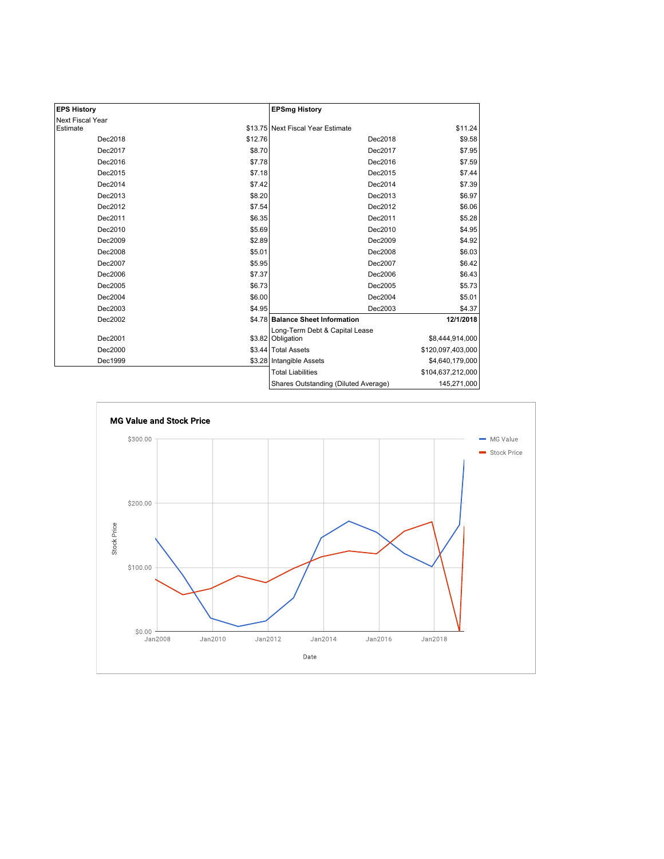| <b>EPS History</b> |         | <b>EPSmg History</b>                                |                   |
|--------------------|---------|-----------------------------------------------------|-------------------|
| Next Fiscal Year   |         |                                                     |                   |
| Estimate           |         | \$13.75 Next Fiscal Year Estimate                   | \$11.24           |
| Dec2018            | \$12.76 | Dec2018                                             | \$9.58            |
| Dec2017            | \$8.70  | Dec2017                                             | \$7.95            |
| Dec2016            | \$7.78  | Dec2016                                             | \$7.59            |
| Dec2015            | \$7.18  | Dec2015                                             | \$7.44            |
| Dec2014            | \$7.42  | Dec2014                                             | \$7.39            |
| Dec2013            | \$8.20  | Dec2013                                             | \$6.97            |
| Dec2012            | \$7.54  | Dec2012                                             | \$6.06            |
| Dec2011            | \$6.35  | Dec2011                                             | \$5.28            |
| Dec2010            | \$5.69  | Dec2010                                             | \$4.95            |
| Dec2009            | \$2.89  | Dec2009                                             | \$4.92            |
| Dec2008            | \$5.01  | Dec2008                                             | \$6.03            |
| Dec2007            | \$5.95  | Dec2007                                             | \$6.42            |
| Dec2006            | \$7.37  | Dec2006                                             | \$6.43            |
| Dec2005            | \$6.73  | Dec2005                                             | \$5.73            |
| Dec2004            | \$6.00  | Dec2004                                             | \$5.01            |
| Dec2003            | \$4.95  | Dec2003                                             | \$4.37            |
| Dec2002            |         | \$4.78 Balance Sheet Information                    | 12/1/2018         |
| Dec2001            |         | Long-Term Debt & Capital Lease<br>\$3.82 Obligation | \$8,444,914,000   |
| Dec2000            |         | \$3.44 Total Assets                                 | \$120,097,403,000 |
| Dec1999            |         | \$3.28 Intangible Assets                            | \$4,640,179,000   |
|                    |         | <b>Total Liabilities</b>                            | \$104,637,212,000 |
|                    |         | Shares Outstanding (Diluted Average)                | 145,271,000       |